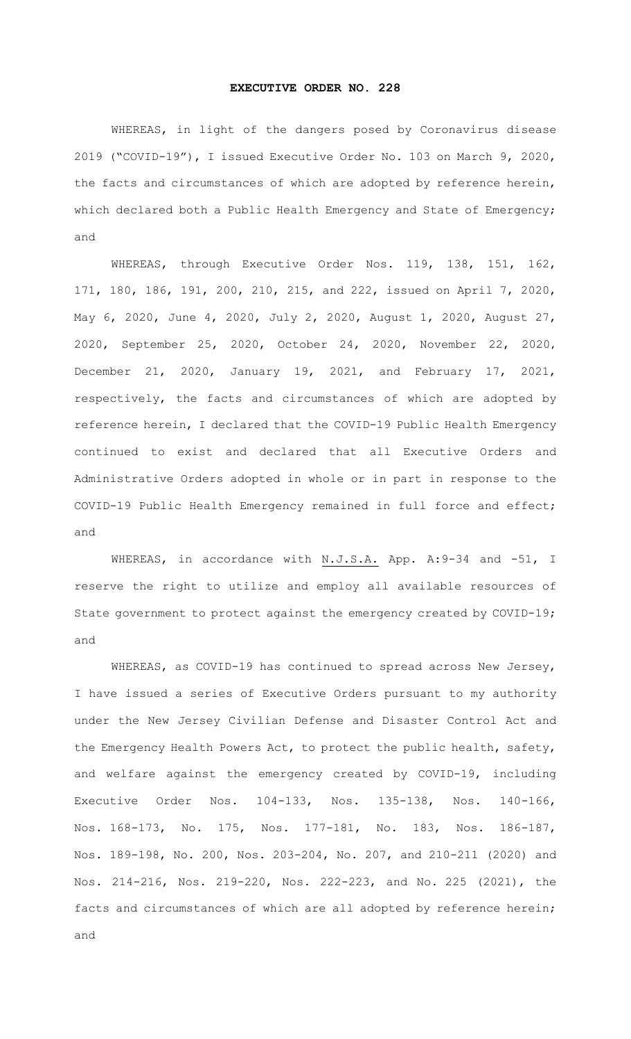## **EXECUTIVE ORDER NO. 228**

WHEREAS, in light of the dangers posed by Coronavirus disease 2019 ("COVID-19"), I issued Executive Order No. 103 on March 9, 2020, the facts and circumstances of which are adopted by reference herein, which declared both a Public Health Emergency and State of Emergency; and

WHEREAS, through Executive Order Nos. 119, 138, 151, 162, 171, 180, 186, 191, 200, 210, 215, and 222, issued on April 7, 2020, May 6, 2020, June 4, 2020, July 2, 2020, August 1, 2020, August 27, 2020, September 25, 2020, October 24, 2020, November 22, 2020, December 21, 2020, January 19, 2021, and February 17, 2021, respectively, the facts and circumstances of which are adopted by reference herein, I declared that the COVID-19 Public Health Emergency continued to exist and declared that all Executive Orders and Administrative Orders adopted in whole or in part in response to the COVID-19 Public Health Emergency remained in full force and effect; and

WHEREAS, in accordance with N.J.S.A. App. A:9-34 and -51, I reserve the right to utilize and employ all available resources of State government to protect against the emergency created by COVID-19; and

WHEREAS, as COVID-19 has continued to spread across New Jersey, I have issued a series of Executive Orders pursuant to my authority under the New Jersey Civilian Defense and Disaster Control Act and the Emergency Health Powers Act, to protect the public health, safety, and welfare against the emergency created by COVID-19, including Executive Order Nos. 104-133, Nos. 135-138, Nos. 140-166, Nos. 168-173, No. 175, Nos. 177-181, No. 183, Nos. 186-187, Nos. 189-198, No. 200, Nos. 203-204, No. 207, and 210-211 (2020) and Nos. 214-216, Nos. 219-220, Nos. 222-223, and No. 225 (2021), the facts and circumstances of which are all adopted by reference herein; and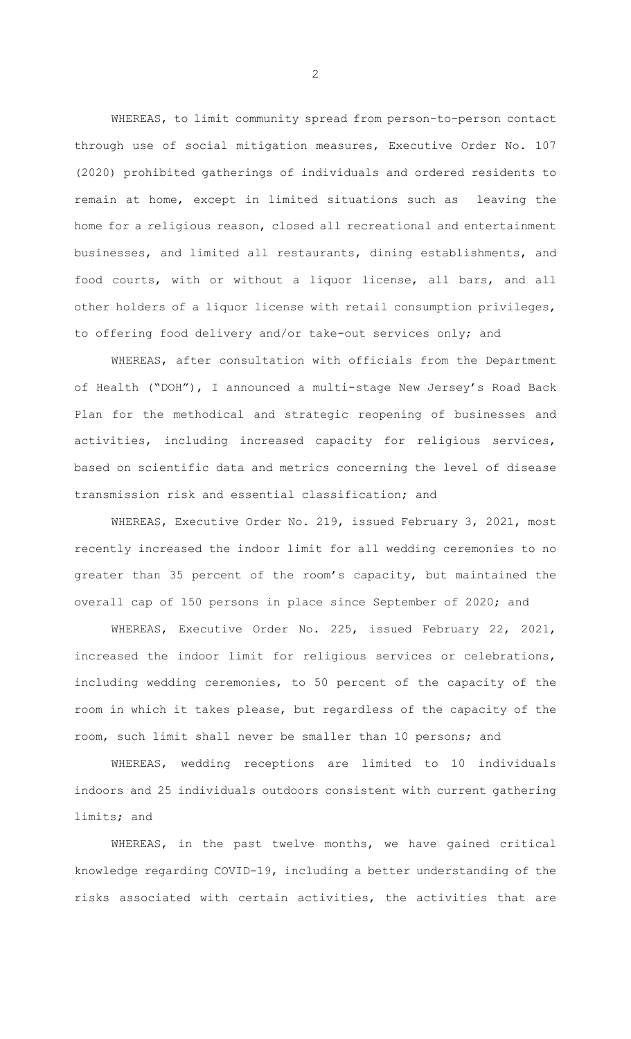WHEREAS, to limit community spread from person-to-person contact through use of social mitigation measures, Executive Order No. 107 (2020) prohibited gatherings of individuals and ordered residents to remain at home, except in limited situations such as leaving the home for a religious reason, closed all recreational and entertainment businesses, and limited all restaurants, dining establishments, and food courts, with or without a liquor license, all bars, and all other holders of a liquor license with retail consumption privileges, to offering food delivery and/or take-out services only; and

WHEREAS, after consultation with officials from the Department of Health ("DOH"), I announced a multi-stage New Jersey's Road Back Plan for the methodical and strategic reopening of businesses and activities, including increased capacity for religious services, based on scientific data and metrics concerning the level of disease transmission risk and essential classification; and

WHEREAS, Executive Order No. 219, issued February 3, 2021, most recently increased the indoor limit for all wedding ceremonies to no greater than 35 percent of the room's capacity, but maintained the overall cap of 150 persons in place since September of 2020; and

WHEREAS, Executive Order No. 225, issued February 22, 2021, increased the indoor limit for religious services or celebrations, including wedding ceremonies, to 50 percent of the capacity of the room in which it takes please, but regardless of the capacity of the room, such limit shall never be smaller than 10 persons; and

WHEREAS, wedding receptions are limited to 10 individuals indoors and 25 individuals outdoors consistent with current gathering limits; and

WHEREAS, in the past twelve months, we have gained critical knowledge regarding COVID-19, including a better understanding of the risks associated with certain activities, the activities that are

2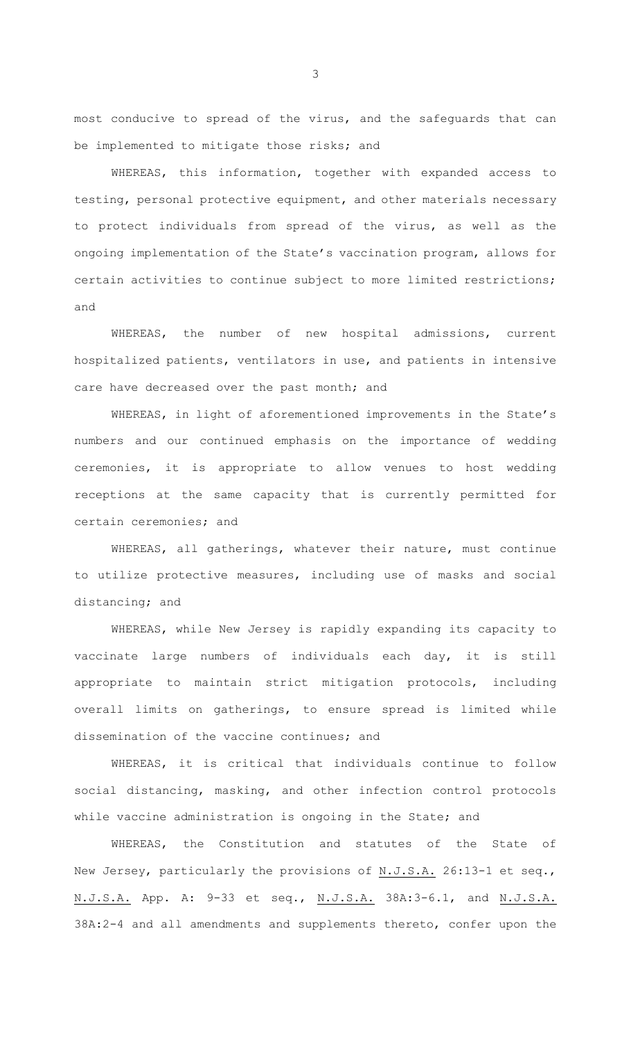most conducive to spread of the virus, and the safeguards that can be implemented to mitigate those risks; and

WHEREAS, this information, together with expanded access to testing, personal protective equipment, and other materials necessary to protect individuals from spread of the virus, as well as the ongoing implementation of the State's vaccination program, allows for certain activities to continue subject to more limited restrictions; and

WHEREAS, the number of new hospital admissions, current hospitalized patients, ventilators in use, and patients in intensive care have decreased over the past month; and

WHEREAS, in light of aforementioned improvements in the State's numbers and our continued emphasis on the importance of wedding ceremonies, it is appropriate to allow venues to host wedding receptions at the same capacity that is currently permitted for certain ceremonies; and

WHEREAS, all gatherings, whatever their nature, must continue to utilize protective measures, including use of masks and social distancing; and

WHEREAS, while New Jersey is rapidly expanding its capacity to vaccinate large numbers of individuals each day, it is still appropriate to maintain strict mitigation protocols, including overall limits on gatherings, to ensure spread is limited while dissemination of the vaccine continues; and

WHEREAS, it is critical that individuals continue to follow social distancing, masking, and other infection control protocols while vaccine administration is ongoing in the State; and

WHEREAS, the Constitution and statutes of the State of New Jersey, particularly the provisions of N.J.S.A. 26:13-1 et seq., N.J.S.A. App. A: 9-33 et seq., N.J.S.A. 38A:3-6.1, and N.J.S.A. 38A:2-4 and all amendments and supplements thereto, confer upon the

3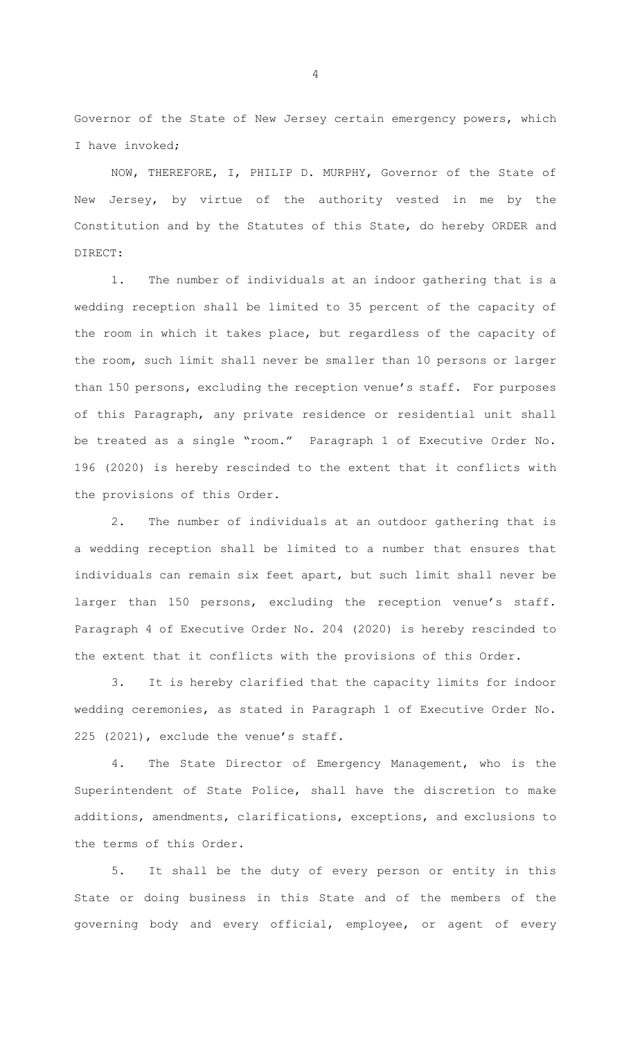Governor of the State of New Jersey certain emergency powers, which I have invoked;

NOW, THEREFORE, I, PHILIP D. MURPHY, Governor of the State of New Jersey, by virtue of the authority vested in me by the Constitution and by the Statutes of this State, do hereby ORDER and DIRECT:

1. The number of individuals at an indoor gathering that is a wedding reception shall be limited to 35 percent of the capacity of the room in which it takes place, but regardless of the capacity of the room, such limit shall never be smaller than 10 persons or larger than 150 persons, excluding the reception venue's staff. For purposes of this Paragraph, any private residence or residential unit shall be treated as a single "room." Paragraph 1 of Executive Order No. 196 (2020) is hereby rescinded to the extent that it conflicts with the provisions of this Order.

2. The number of individuals at an outdoor gathering that is a wedding reception shall be limited to a number that ensures that individuals can remain six feet apart, but such limit shall never be larger than 150 persons, excluding the reception venue's staff. Paragraph 4 of Executive Order No. 204 (2020) is hereby rescinded to the extent that it conflicts with the provisions of this Order.

3. It is hereby clarified that the capacity limits for indoor wedding ceremonies, as stated in Paragraph 1 of Executive Order No. 225 (2021), exclude the venue's staff.

4. The State Director of Emergency Management, who is the Superintendent of State Police, shall have the discretion to make additions, amendments, clarifications, exceptions, and exclusions to the terms of this Order.

5. It shall be the duty of every person or entity in this State or doing business in this State and of the members of the governing body and every official, employee, or agent of every

4